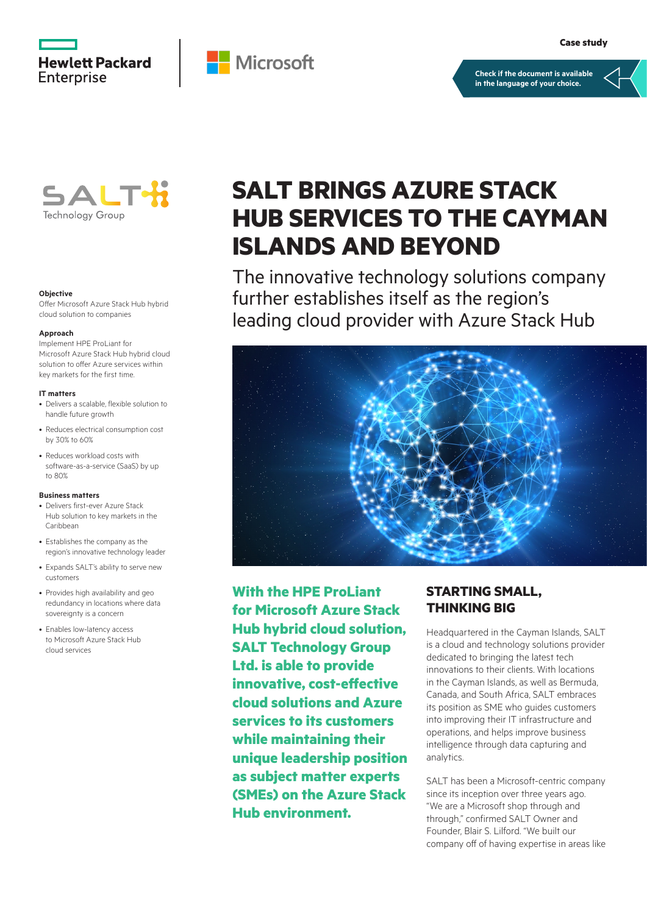



**[Check if the document is available](https://psnow.ext.hpe.com/collection-resources/a50000716ENW)  in the language of your choice.**



#### **Objective**

Offer Microsoft Azure Stack Hub hybrid cloud solution to companies

#### **Approach**

Implement HPE ProLiant for Microsoft Azure Stack Hub hybrid cloud solution to offer Azure services within key markets for the first time.

### **IT matters**

- Delivers a scalable, flexible solution to handle future growth
- Reduces electrical consumption cost by 30% to 60%
- Reduces workload costs with software-as-a-service (SaaS) by up to 80%

### **Business matters**

- Delivers first-ever Azure Stack Hub solution to key markets in the Caribbean
- Establishes the company as the region's innovative technology leader
- Expands SALT's ability to serve new customers
- Provides high availability and geo redundancy in locations where data sovereignty is a concern
- Enables low-latency access to Microsoft Azure Stack Hub cloud services

# **SALT BRINGS AZURE STACK HUB SERVICES TO THE CAYMAN ISLANDS AND BEYOND**

The innovative technology solutions company further establishes itself as the region's leading cloud provider with Azure Stack Hub



**With the HPE ProLiant for Microsoft Azure Stack Hub hybrid cloud solution, SALT Technology Group Ltd. is able to provide innovative, cost-effective cloud solutions and Azure services to its customers while maintaining their unique leadership position as subject matter experts (SMEs) on the Azure Stack Hub environment.**

## **STARTING SMALL, THINKING BIG**

Headquartered in the Cayman Islands, SALT is a cloud and technology solutions provider dedicated to bringing the latest tech innovations to their clients. With locations in the Cayman Islands, as well as Bermuda, Canada, and South Africa, SALT embraces its position as SME who guides customers into improving their IT infrastructure and operations, and helps improve business intelligence through data capturing and analytics.

SALT has been a Microsoft-centric company since its inception over three years ago. "We are a Microsoft shop through and through," confirmed SALT Owner and Founder, Blair S. Lilford. "We built our company off of having expertise in areas like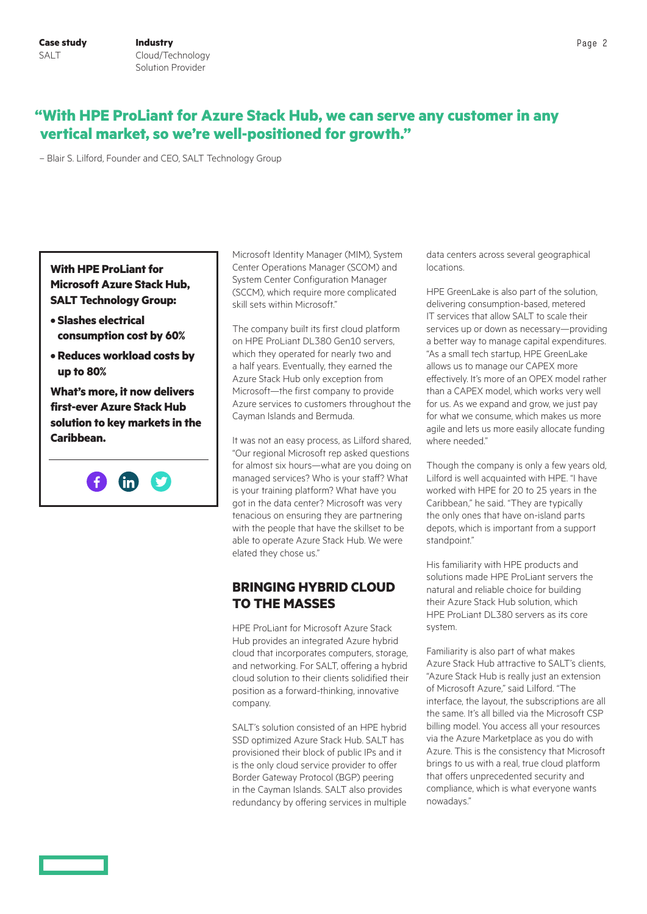# **"With HPE ProLiant for Azure Stack Hub, we can serve any customer in any vertical market, so we're well-positioned for growth."**

– Blair S. Lilford, Founder and CEO, SALT Technology Group

## **With HPE ProLiant for Microsoft Azure Stack Hub, SALT Technology Group:**

- **Slashes electrical consumption cost by 60%**
- **Reduces workload costs by up to 80%**

**What's more, it now delivers first-ever Azure Stack Hub solution to key markets in the Caribbean.**



Microsoft Identity Manager (MIM), System Center Operations Manager (SCOM) and System Center Configuration Manager (SCCM), which require more complicated skill sets within Microsoft."

The company built its first cloud platform on HPE ProLiant DL380 Gen10 servers, which they operated for nearly two and a half years. Eventually, they earned the Azure Stack Hub only exception from Microsoft—the first company to provide Azure services to customers throughout the Cayman Islands and Bermuda.

It was not an easy process, as Lilford shared, "Our regional Microsoft rep asked questions for almost six hours—what are you doing on managed services? Who is your staff? What is your training platform? What have you got in the data center? Microsoft was very tenacious on ensuring they are partnering with the people that have the skillset to be able to operate Azure Stack Hub. We were elated they chose us."

## **BRINGING HYBRID CLOUD TO THE MASSES**

HPE ProLiant for Microsoft Azure Stack Hub provides an integrated Azure hybrid cloud that incorporates computers, storage, and networking. For SALT, offering a hybrid cloud solution to their clients solidified their position as a forward-thinking, innovative company.

SALT's solution consisted of an HPE hybrid SSD optimized Azure Stack Hub. SALT has provisioned their block of public IPs and it is the only cloud service provider to offer Border Gateway Protocol (BGP) peering in the Cayman Islands. SALT also provides redundancy by offering services in multiple

data centers across several geographical locations.

HPE GreenLake is also part of the solution, delivering consumption-based, metered IT services that allow SALT to scale their services up or down as necessary—providing a better way to manage capital expenditures. "As a small tech startup, HPE GreenLake allows us to manage our CAPEX more effectively. It's more of an OPEX model rather than a CAPEX model, which works very well for us. As we expand and grow, we just pay for what we consume, which makes us more agile and lets us more easily allocate funding where needed."

Though the company is only a few years old, Lilford is well acquainted with HPE. "I have worked with HPE for 20 to 25 years in the Caribbean," he said. "They are typically the only ones that have on-island parts depots, which is important from a support standpoint."

His familiarity with HPE products and solutions made HPE ProLiant servers the natural and reliable choice for building their Azure Stack Hub solution, which HPE ProLiant DL380 servers as its core system.

Familiarity is also part of what makes Azure Stack Hub attractive to SALT's clients, "Azure Stack Hub is really just an extension of Microsoft Azure," said Lilford. "The interface, the layout, the subscriptions are all the same. It's all billed via the Microsoft CSP billing model. You access all your resources via the Azure Marketplace as you do with Azure. This is the consistency that Microsoft brings to us with a real, true cloud platform that offers unprecedented security and compliance, which is what everyone wants nowadays."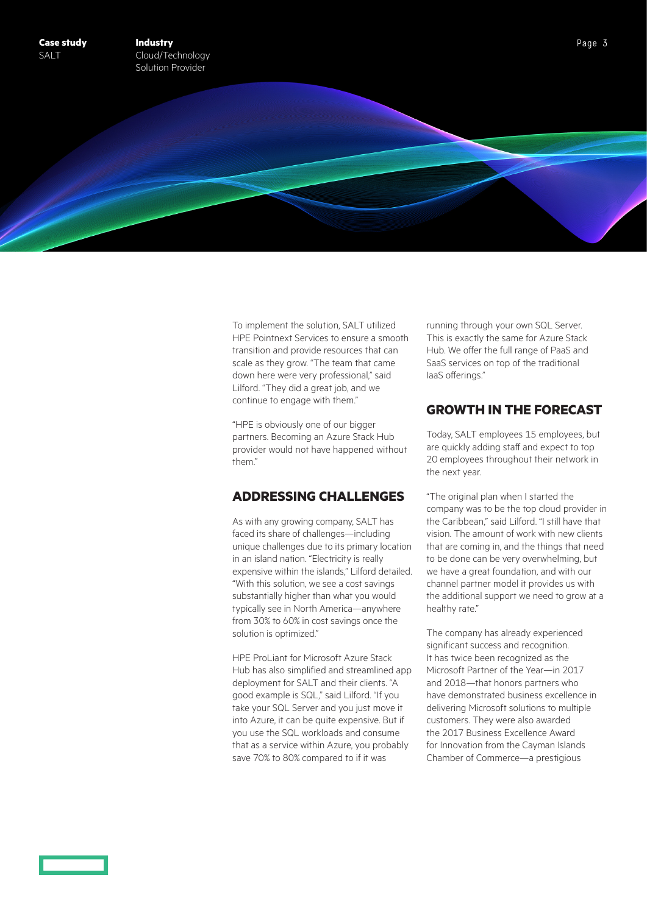

To implement the solution, SALT utilized HPE Pointnext Services to ensure a smooth transition and provide resources that can scale as they grow. "The team that came down here were very professional," said Lilford. "They did a great job, and we continue to engage with them."

"HPE is obviously one of our bigger partners. Becoming an Azure Stack Hub provider would not have happened without them"

## **ADDRESSING CHALLENGES**

As with any growing company, SALT has faced its share of challenges—including unique challenges due to its primary location in an island nation. "Electricity is really expensive within the islands," Lilford detailed. "With this solution, we see a cost savings substantially higher than what you would typically see in North America—anywhere from 30% to 60% in cost savings once the solution is optimized."

HPE ProLiant for Microsoft Azure Stack Hub has also simplified and streamlined app deployment for SALT and their clients. "A good example is SQL," said Lilford. "If you take your SQL Server and you just move it into Azure, it can be quite expensive. But if you use the SQL workloads and consume that as a service within Azure, you probably save 70% to 80% compared to if it was

running through your own SQL Server. This is exactly the same for Azure Stack Hub. We offer the full range of PaaS and SaaS services on top of the traditional IaaS offerings."

## **GROWTH IN THE FORECAST**

Today, SALT employees 15 employees, but are quickly adding staff and expect to top 20 employees throughout their network in the next year.

"The original plan when I started the company was to be the top cloud provider in the Caribbean," said Lilford. "I still have that vision. The amount of work with new clients that are coming in, and the things that need to be done can be very overwhelming, but we have a great foundation, and with our channel partner model it provides us with the additional support we need to grow at a healthy rate."

The company has already experienced significant success and recognition. It has twice been recognized as the Microsoft Partner of the Year—in 2017 and 2018—that honors partners who have demonstrated business excellence in delivering Microsoft solutions to multiple customers. They were also awarded the 2017 Business Excellence Award for Innovation from the Cayman Islands Chamber of Commerce—a prestigious